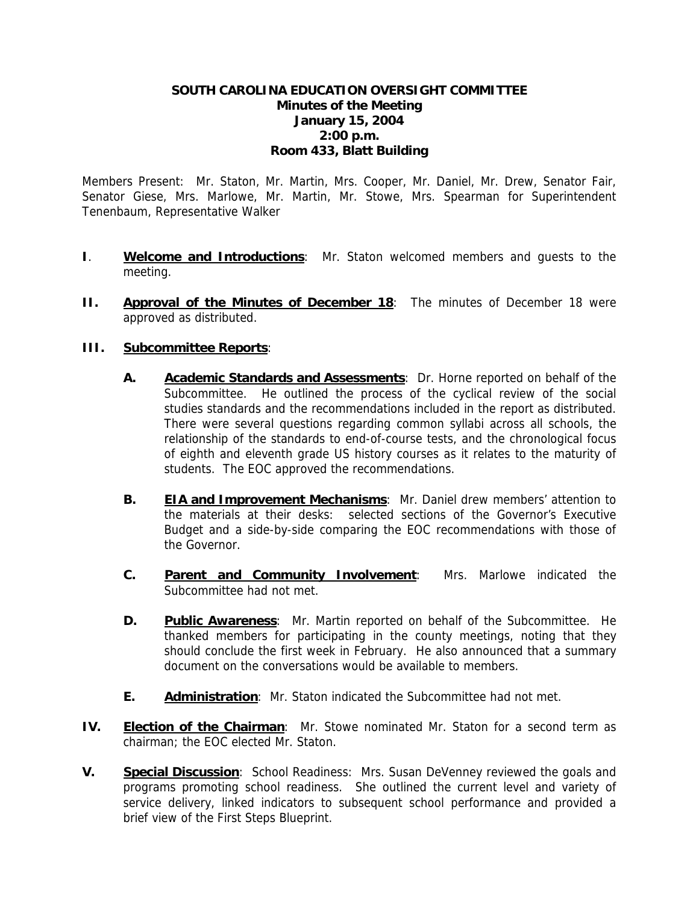### **SOUTH CAROLINA EDUCATION OVERSIGHT COMMITTEE Minutes of the Meeting January 15, 2004 2:00 p.m. Room 433, Blatt Building**

Members Present: Mr. Staton, Mr. Martin, Mrs. Cooper, Mr. Daniel, Mr. Drew, Senator Fair, Senator Giese, Mrs. Marlowe, Mr. Martin, Mr. Stowe, Mrs. Spearman for Superintendent Tenenbaum, Representative Walker

- **I**. **Welcome and Introductions**: Mr. Staton welcomed members and guests to the meeting.
- **II. Approval of the Minutes of December 18**: The minutes of December 18 were approved as distributed.

### **III. Subcommittee Reports**:

- **A. Academic Standards and Assessments**: Dr. Horne reported on behalf of the Subcommittee. He outlined the process of the cyclical review of the social studies standards and the recommendations included in the report as distributed. There were several questions regarding common syllabi across all schools, the relationship of the standards to end-of-course tests, and the chronological focus of eighth and eleventh grade US history courses as it relates to the maturity of students. The EOC approved the recommendations.
- **B. EIA and Improvement Mechanisms**: Mr. Daniel drew members' attention to the materials at their desks: selected sections of the Governor's Executive Budget and a side-by-side comparing the EOC recommendations with those of the Governor.
- **C. Parent and Community Involvement**: Mrs. Marlowe indicated the Subcommittee had not met.
- **D. Public Awareness**: Mr. Martin reported on behalf of the Subcommittee. He thanked members for participating in the county meetings, noting that they should conclude the first week in February. He also announced that a summary document on the conversations would be available to members.
- **E. Administration**: Mr. Staton indicated the Subcommittee had not met.
- **IV. Election of the Chairman**: Mr. Stowe nominated Mr. Staton for a second term as chairman; the EOC elected Mr. Staton.
- **V. Special Discussion**: School Readiness: Mrs. Susan DeVenney reviewed the goals and programs promoting school readiness. She outlined the current level and variety of service delivery, linked indicators to subsequent school performance and provided a brief view of the First Steps Blueprint.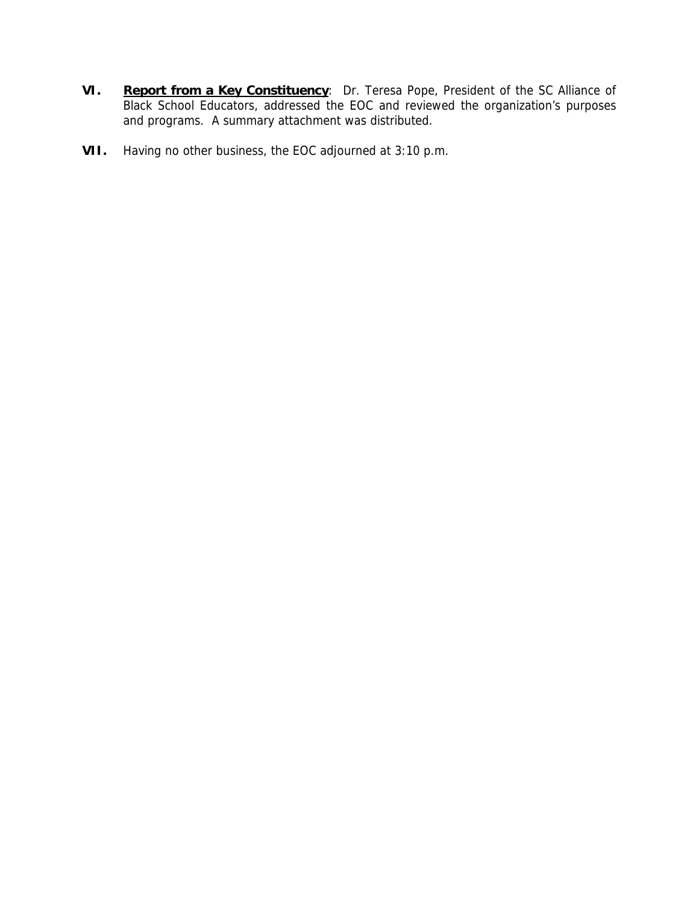- **VI. Report from a Key Constituency**: Dr. Teresa Pope, President of the SC Alliance of Black School Educators, addressed the EOC and reviewed the organization's purposes and programs. A summary attachment was distributed.
- **VII.** Having no other business, the EOC adjourned at 3:10 p.m.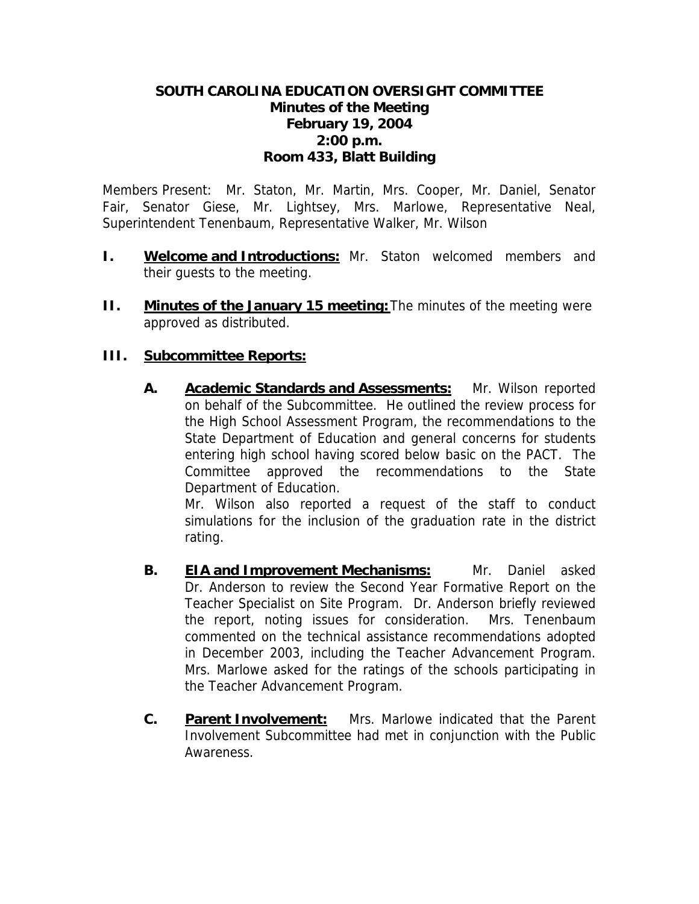## **SOUTH CAROLINA EDUCATION OVERSIGHT COMMITTEE Minutes of the Meeting February 19, 2004 2:00 p.m. Room 433, Blatt Building**

Members Present: Mr. Staton, Mr. Martin, Mrs. Cooper, Mr. Daniel, Senator Fair, Senator Giese, Mr. Lightsey, Mrs. Marlowe, Representative Neal, Superintendent Tenenbaum, Representative Walker, Mr. Wilson

- **I.** Welcome and Introductions: Mr. Staton welcomed members and their guests to the meeting.
- **II.** Minutes of the January 15 meeting: The minutes of the meeting were approved as distributed.

## **III. Subcommittee Reports:**

A. Academic Standards and Assessments: Mr. Wilson reported on behalf of the Subcommittee. He outlined the review process for the High School Assessment Program, the recommendations to the State Department of Education and general concerns for students entering high school having scored below basic on the PACT. The Committee approved the recommendations to the State Department of Education.

Mr. Wilson also reported a request of the staff to conduct simulations for the inclusion of the graduation rate in the district rating.

- **B. EIA and Improvement Mechanisms:** Mr. Daniel asked Dr. Anderson to review the Second Year Formative Report on the Teacher Specialist on Site Program. Dr. Anderson briefly reviewed the report, noting issues for consideration. Mrs. Tenenbaum commented on the technical assistance recommendations adopted in December 2003, including the Teacher Advancement Program. Mrs. Marlowe asked for the ratings of the schools participating in the Teacher Advancement Program.
- **C. Parent Involvement:** Mrs. Marlowe indicated that the Parent Involvement Subcommittee had met in conjunction with the Public Awareness.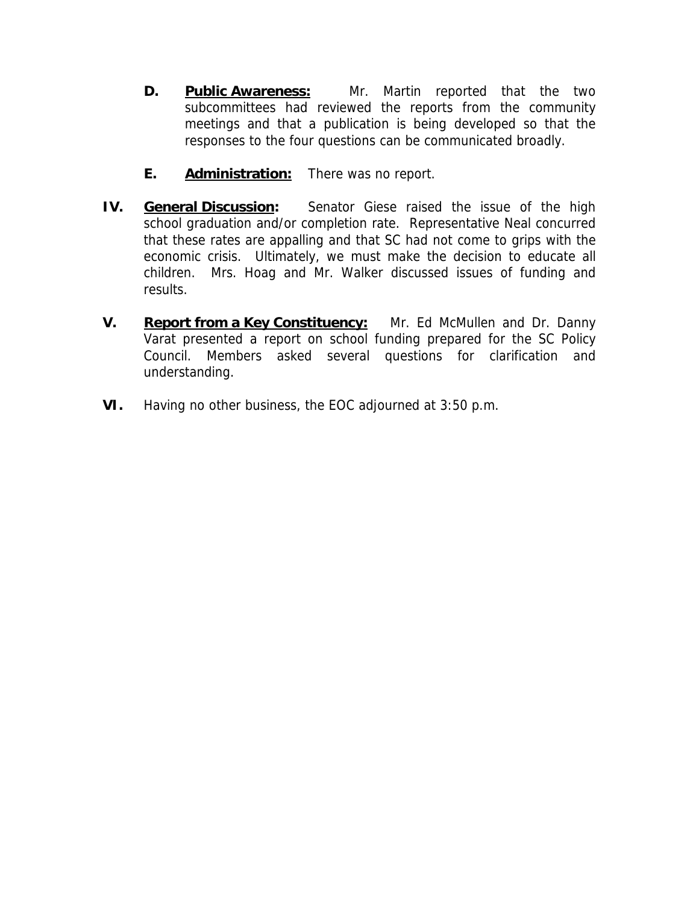- **D. Public Awareness:** Mr. Martin reported that the two subcommittees had reviewed the reports from the community meetings and that a publication is being developed so that the responses to the four questions can be communicated broadly.
- **E. Administration:** There was no report.
- **IV. General Discussion:** Senator Giese raised the issue of the high school graduation and/or completion rate. Representative Neal concurred that these rates are appalling and that SC had not come to grips with the economic crisis. Ultimately, we must make the decision to educate all children. Mrs. Hoag and Mr. Walker discussed issues of funding and results.
- **V. Report from a Key Constituency:** Mr. Ed McMullen and Dr. Danny Varat presented a report on school funding prepared for the SC Policy Council. Members asked several questions for clarification and understanding.
- **VI.** Having no other business, the EOC adjourned at 3:50 p.m.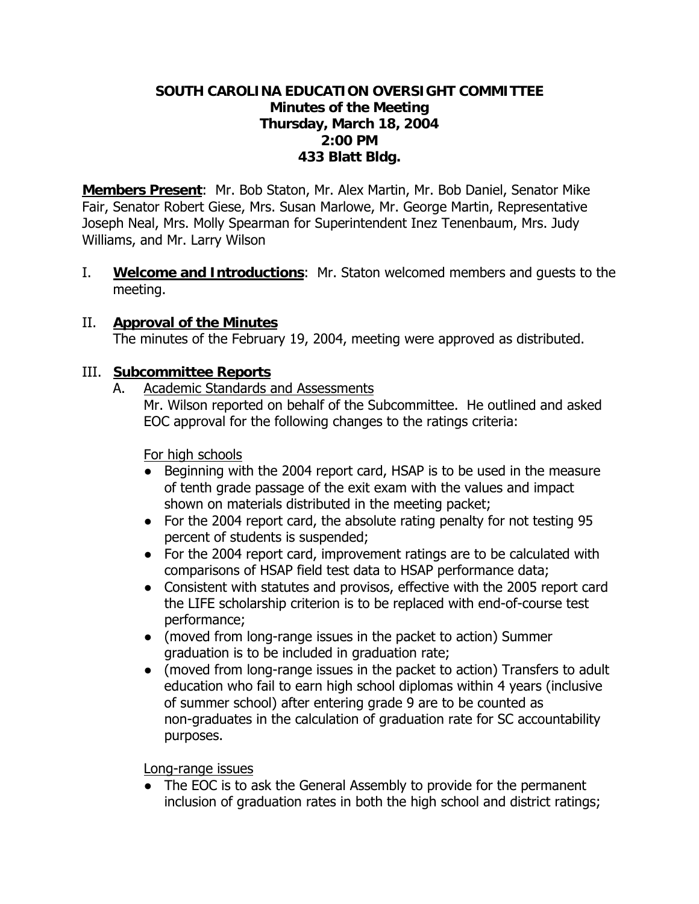## **SOUTH CAROLINA EDUCATION OVERSIGHT COMMITTEE Minutes of the Meeting Thursday, March 18, 2004 2:00 PM 433 Blatt Bldg.**

**Members Present**: Mr. Bob Staton, Mr. Alex Martin, Mr. Bob Daniel, Senator Mike Fair, Senator Robert Giese, Mrs. Susan Marlowe, Mr. George Martin, Representative Joseph Neal, Mrs. Molly Spearman for Superintendent Inez Tenenbaum, Mrs. Judy Williams, and Mr. Larry Wilson

- I. **Welcome and Introductions**: Mr. Staton welcomed members and guests to the meeting.
- II. **Approval of the Minutes** The minutes of the February 19, 2004, meeting were approved as distributed.

# III. **Subcommittee Reports**

A. Academic Standards and Assessments

 Mr. Wilson reported on behalf of the Subcommittee. He outlined and asked EOC approval for the following changes to the ratings criteria:

For high schools

- Beginning with the 2004 report card, HSAP is to be used in the measure of tenth grade passage of the exit exam with the values and impact shown on materials distributed in the meeting packet;
- For the 2004 report card, the absolute rating penalty for not testing 95 percent of students is suspended;
- For the 2004 report card, improvement ratings are to be calculated with comparisons of HSAP field test data to HSAP performance data;
- Consistent with statutes and provisos, effective with the 2005 report card the LIFE scholarship criterion is to be replaced with end-of-course test performance;
- (moved from long-range issues in the packet to action) Summer graduation is to be included in graduation rate;
- (moved from long-range issues in the packet to action) Transfers to adult education who fail to earn high school diplomas within 4 years (inclusive of summer school) after entering grade 9 are to be counted as non-graduates in the calculation of graduation rate for SC accountability purposes.

Long-range issues

• The EOC is to ask the General Assembly to provide for the permanent inclusion of graduation rates in both the high school and district ratings;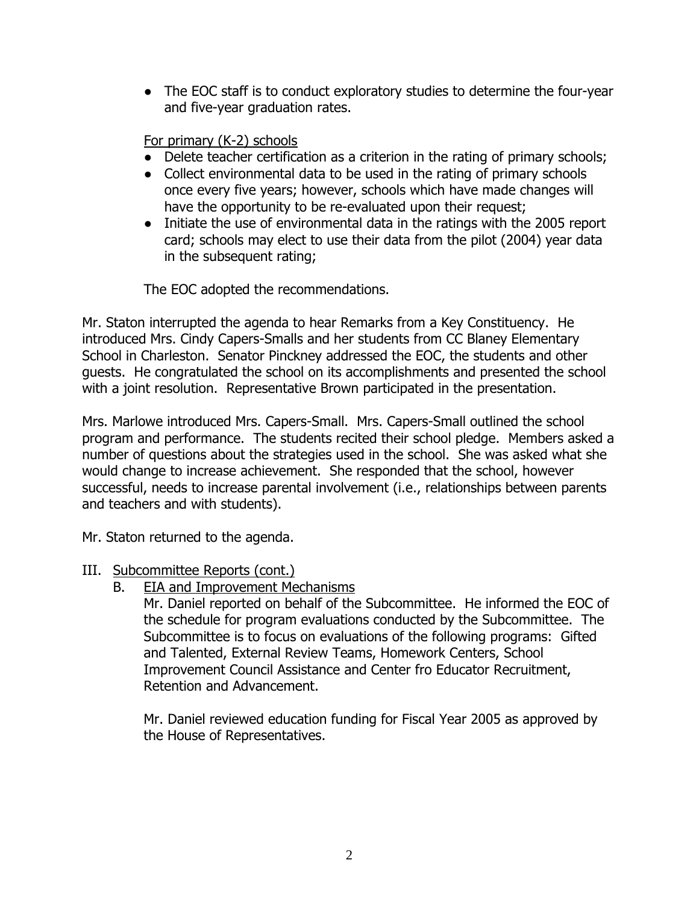● The EOC staff is to conduct exploratory studies to determine the four-year and five-year graduation rates.

# For primary (K-2) schools

- Delete teacher certification as a criterion in the rating of primary schools;
- Collect environmental data to be used in the rating of primary schools once every five years; however, schools which have made changes will have the opportunity to be re-evaluated upon their request;
- Initiate the use of environmental data in the ratings with the 2005 report card; schools may elect to use their data from the pilot (2004) year data in the subsequent rating;

The EOC adopted the recommendations.

Mr. Staton interrupted the agenda to hear Remarks from a Key Constituency. He introduced Mrs. Cindy Capers-Smalls and her students from CC Blaney Elementary School in Charleston. Senator Pinckney addressed the EOC, the students and other guests. He congratulated the school on its accomplishments and presented the school with a joint resolution. Representative Brown participated in the presentation.

Mrs. Marlowe introduced Mrs. Capers-Small. Mrs. Capers-Small outlined the school program and performance. The students recited their school pledge. Members asked a number of questions about the strategies used in the school. She was asked what she would change to increase achievement. She responded that the school, however successful, needs to increase parental involvement (i.e., relationships between parents and teachers and with students).

Mr. Staton returned to the agenda.

## III. Subcommittee Reports (cont.)

B. EIA and Improvement Mechanisms

 Mr. Daniel reported on behalf of the Subcommittee. He informed the EOC of the schedule for program evaluations conducted by the Subcommittee. The Subcommittee is to focus on evaluations of the following programs: Gifted and Talented, External Review Teams, Homework Centers, School Improvement Council Assistance and Center fro Educator Recruitment, Retention and Advancement.

 Mr. Daniel reviewed education funding for Fiscal Year 2005 as approved by the House of Representatives.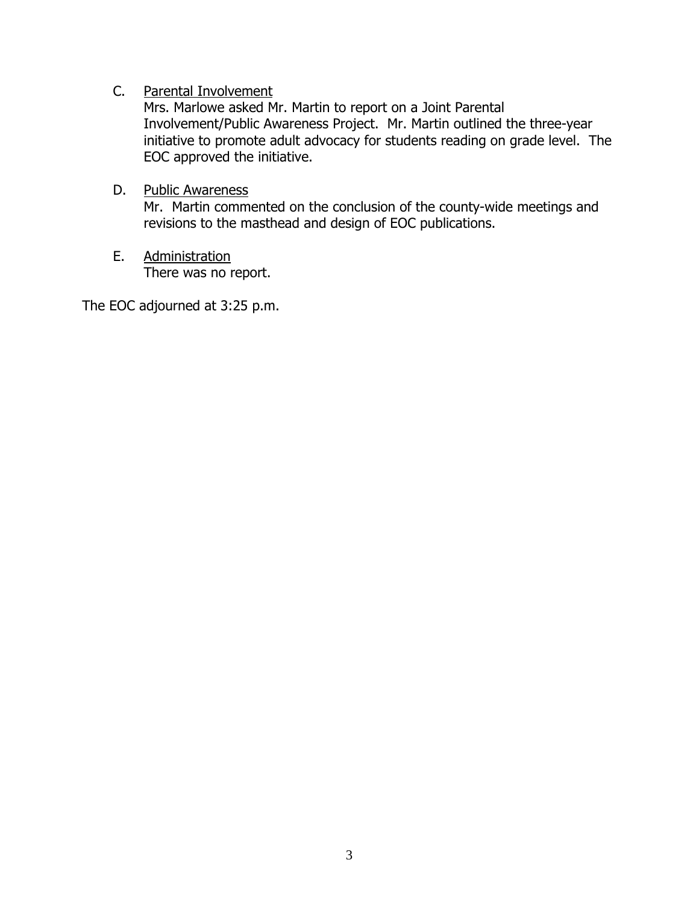C. Parental Involvement

Mrs. Marlowe asked Mr. Martin to report on a Joint Parental Involvement/Public Awareness Project. Mr. Martin outlined the three-year initiative to promote adult advocacy for students reading on grade level. The EOC approved the initiative.

D. Public Awareness

Mr. Martin commented on the conclusion of the county-wide meetings and revisions to the masthead and design of EOC publications.

 E. Administration There was no report.

The EOC adjourned at 3:25 p.m.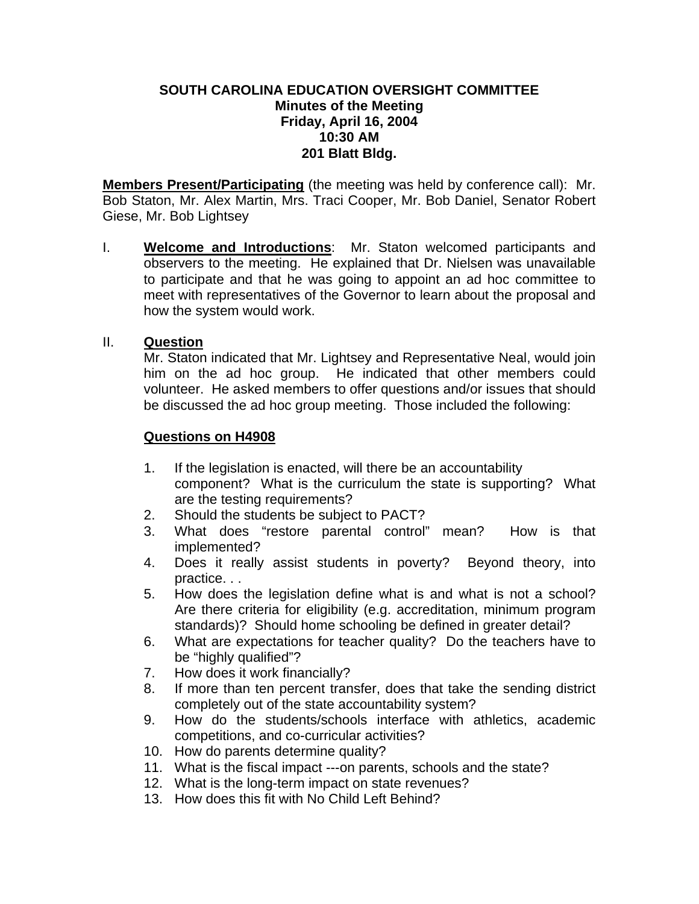## **SOUTH CAROLINA EDUCATION OVERSIGHT COMMITTEE Minutes of the Meeting Friday, April 16, 2004 10:30 AM 201 Blatt Bldg.**

**Members Present/Participating** (the meeting was held by conference call): Mr. Bob Staton, Mr. Alex Martin, Mrs. Traci Cooper, Mr. Bob Daniel, Senator Robert Giese, Mr. Bob Lightsey

I. **Welcome and Introductions**: Mr. Staton welcomed participants and observers to the meeting. He explained that Dr. Nielsen was unavailable to participate and that he was going to appoint an ad hoc committee to meet with representatives of the Governor to learn about the proposal and how the system would work.

## II. **Question**

Mr. Staton indicated that Mr. Lightsey and Representative Neal, would join him on the ad hoc group. He indicated that other members could volunteer. He asked members to offer questions and/or issues that should be discussed the ad hoc group meeting. Those included the following:

## **Questions on H4908**

- 1. If the legislation is enacted, will there be an accountability component? What is the curriculum the state is supporting? What are the testing requirements?
- 2. Should the students be subject to PACT?
- 3. What does "restore parental control" mean? How is that implemented?
- 4. Does it really assist students in poverty? Beyond theory, into practice. . .
- 5. How does the legislation define what is and what is not a school? Are there criteria for eligibility (e.g. accreditation, minimum program standards)? Should home schooling be defined in greater detail?
- 6. What are expectations for teacher quality? Do the teachers have to be "highly qualified"?
- 7. How does it work financially?
- 8. If more than ten percent transfer, does that take the sending district completely out of the state accountability system?
- 9. How do the students/schools interface with athletics, academic competitions, and co-curricular activities?
- 10. How do parents determine quality?
- 11. What is the fiscal impact ---on parents, schools and the state?
- 12. What is the long-term impact on state revenues?
- 13. How does this fit with No Child Left Behind?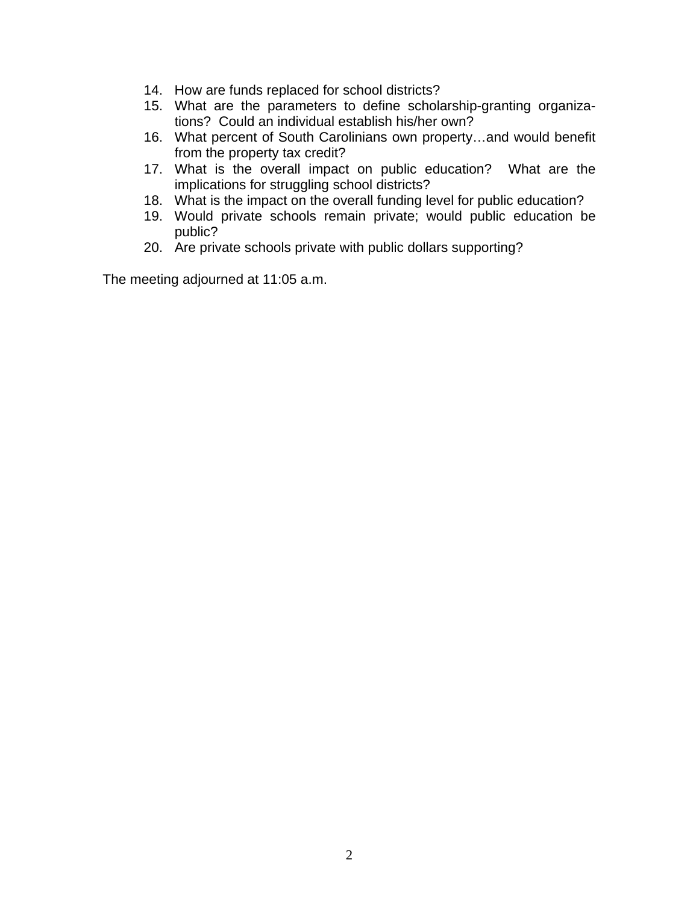- 14. How are funds replaced for school districts?
- 15. What are the parameters to define scholarship-granting organizations? Could an individual establish his/her own?
- 16. What percent of South Carolinians own property…and would benefit from the property tax credit?
- 17. What is the overall impact on public education? What are the implications for struggling school districts?
- 18. What is the impact on the overall funding level for public education?
- 19. Would private schools remain private; would public education be public?
- 20. Are private schools private with public dollars supporting?

The meeting adjourned at 11:05 a.m.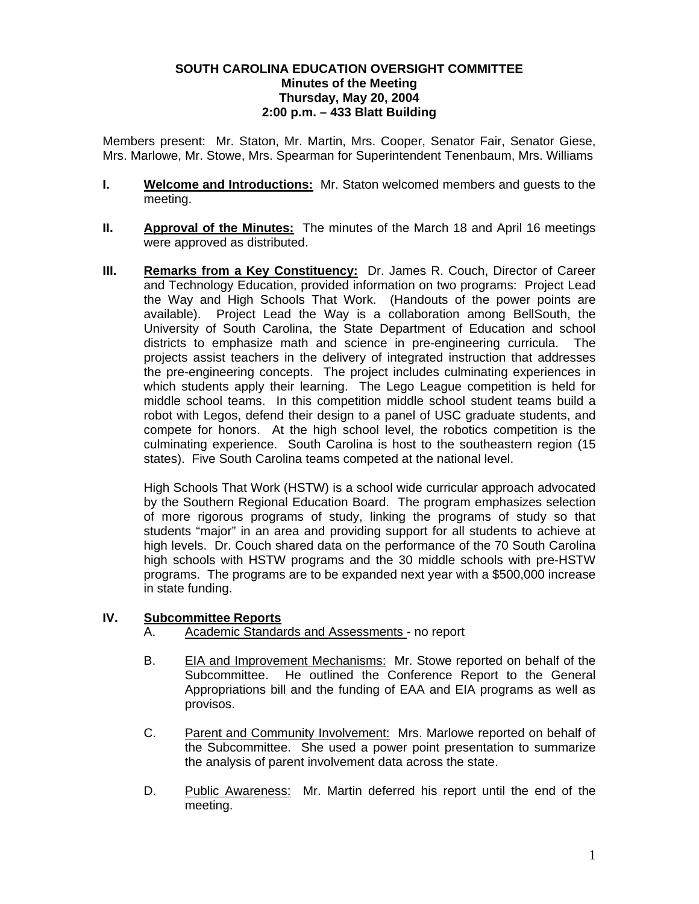### **SOUTH CAROLINA EDUCATION OVERSIGHT COMMITTEE Minutes of the Meeting Thursday, May 20, 2004 2:00 p.m. – 433 Blatt Building**

Members present: Mr. Staton, Mr. Martin, Mrs. Cooper, Senator Fair, Senator Giese, Mrs. Marlowe, Mr. Stowe, Mrs. Spearman for Superintendent Tenenbaum, Mrs. Williams

- **I. Welcome and Introductions:** Mr. Staton welcomed members and guests to the meeting.
- **II. Approval of the Minutes:** The minutes of the March 18 and April 16 meetings were approved as distributed.
- **III. Remarks from a Key Constituency:** Dr. James R. Couch, Director of Career and Technology Education, provided information on two programs: Project Lead the Way and High Schools That Work. (Handouts of the power points are available). Project Lead the Way is a collaboration among BellSouth, the University of South Carolina, the State Department of Education and school districts to emphasize math and science in pre-engineering curricula. The projects assist teachers in the delivery of integrated instruction that addresses the pre-engineering concepts. The project includes culminating experiences in which students apply their learning. The Lego League competition is held for middle school teams. In this competition middle school student teams build a robot with Legos, defend their design to a panel of USC graduate students, and compete for honors. At the high school level, the robotics competition is the culminating experience. South Carolina is host to the southeastern region (15 states). Five South Carolina teams competed at the national level.

High Schools That Work (HSTW) is a school wide curricular approach advocated by the Southern Regional Education Board. The program emphasizes selection of more rigorous programs of study, linking the programs of study so that students "major" in an area and providing support for all students to achieve at high levels. Dr. Couch shared data on the performance of the 70 South Carolina high schools with HSTW programs and the 30 middle schools with pre-HSTW programs. The programs are to be expanded next year with a \$500,000 increase in state funding.

## **IV. Subcommittee Reports**

- A. Academic Standards and Assessments no report
- B. EIA and Improvement Mechanisms: Mr. Stowe reported on behalf of the Subcommittee. He outlined the Conference Report to the General Appropriations bill and the funding of EAA and EIA programs as well as provisos.
- C. Parent and Community Involvement: Mrs. Marlowe reported on behalf of the Subcommittee. She used a power point presentation to summarize the analysis of parent involvement data across the state.
- D. Public Awareness: Mr. Martin deferred his report until the end of the meeting.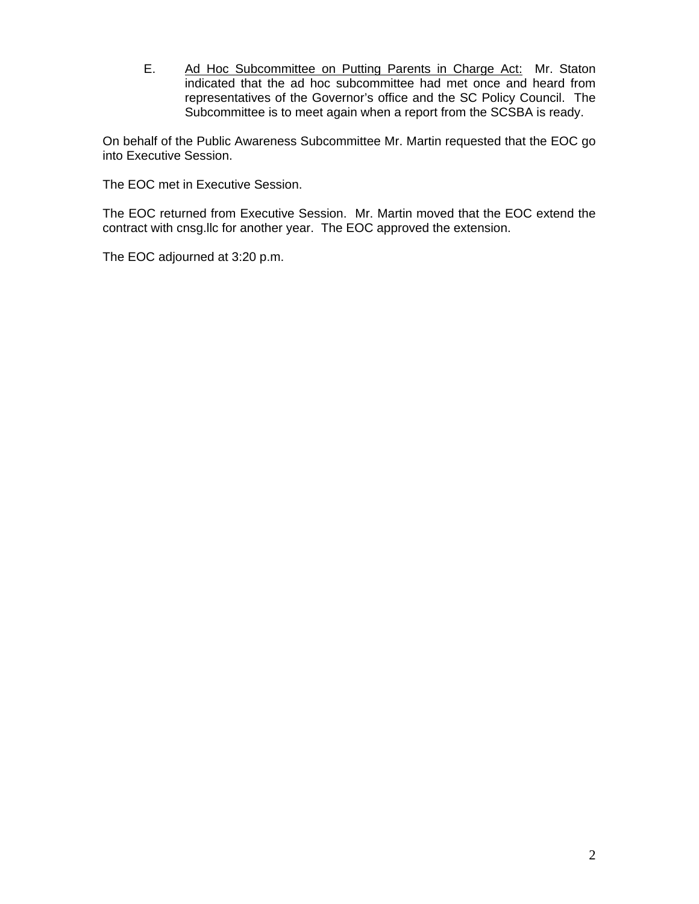E. Ad Hoc Subcommittee on Putting Parents in Charge Act: Mr. Staton indicated that the ad hoc subcommittee had met once and heard from representatives of the Governor's office and the SC Policy Council. The Subcommittee is to meet again when a report from the SCSBA is ready.

On behalf of the Public Awareness Subcommittee Mr. Martin requested that the EOC go into Executive Session.

The EOC met in Executive Session.

The EOC returned from Executive Session. Mr. Martin moved that the EOC extend the contract with cnsg.llc for another year. The EOC approved the extension.

The EOC adjourned at 3:20 p.m.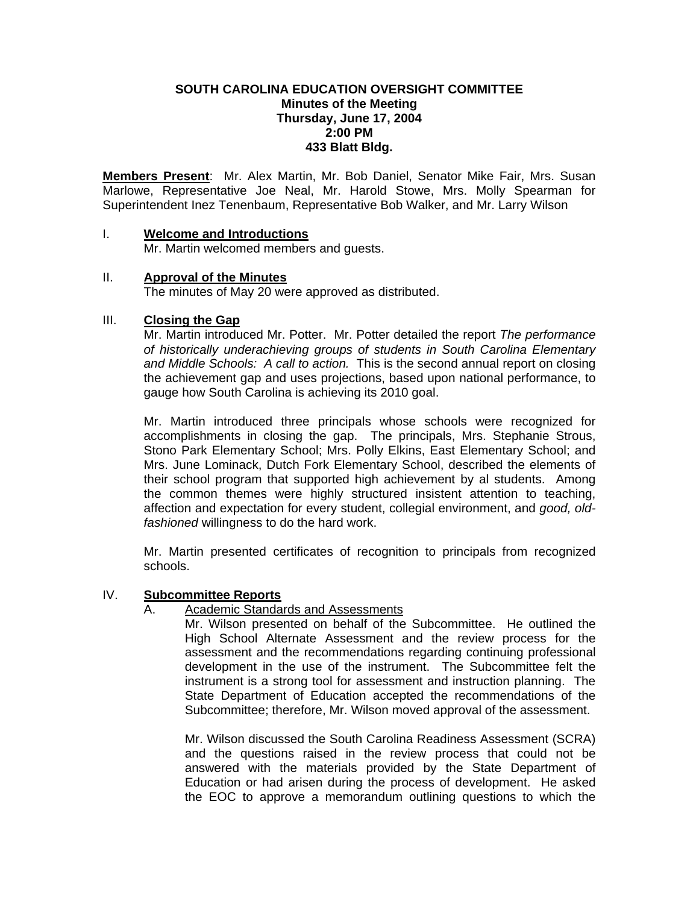### **SOUTH CAROLINA EDUCATION OVERSIGHT COMMITTEE Minutes of the Meeting Thursday, June 17, 2004 2:00 PM 433 Blatt Bldg.**

**Members Present**: Mr. Alex Martin, Mr. Bob Daniel, Senator Mike Fair, Mrs. Susan Marlowe, Representative Joe Neal, Mr. Harold Stowe, Mrs. Molly Spearman for Superintendent Inez Tenenbaum, Representative Bob Walker, and Mr. Larry Wilson

### I. **Welcome and Introductions**

Mr. Martin welcomed members and guests.

#### II. **Approval of the Minutes**

The minutes of May 20 were approved as distributed.

### III. **Closing the Gap**

Mr. Martin introduced Mr. Potter. Mr. Potter detailed the report *The performance of historically underachieving groups of students in South Carolina Elementary and Middle Schools: A call to action.* This is the second annual report on closing the achievement gap and uses projections, based upon national performance, to gauge how South Carolina is achieving its 2010 goal.

Mr. Martin introduced three principals whose schools were recognized for accomplishments in closing the gap. The principals, Mrs. Stephanie Strous, Stono Park Elementary School; Mrs. Polly Elkins, East Elementary School; and Mrs. June Lominack, Dutch Fork Elementary School, described the elements of their school program that supported high achievement by al students. Among the common themes were highly structured insistent attention to teaching, affection and expectation for every student, collegial environment, and *good, oldfashioned* willingness to do the hard work.

Mr. Martin presented certificates of recognition to principals from recognized schools.

#### IV. **Subcommittee Reports**

#### A. Academic Standards and Assessments

Mr. Wilson presented on behalf of the Subcommittee. He outlined the High School Alternate Assessment and the review process for the assessment and the recommendations regarding continuing professional development in the use of the instrument. The Subcommittee felt the instrument is a strong tool for assessment and instruction planning. The State Department of Education accepted the recommendations of the Subcommittee; therefore, Mr. Wilson moved approval of the assessment.

Mr. Wilson discussed the South Carolina Readiness Assessment (SCRA) and the questions raised in the review process that could not be answered with the materials provided by the State Department of Education or had arisen during the process of development. He asked the EOC to approve a memorandum outlining questions to which the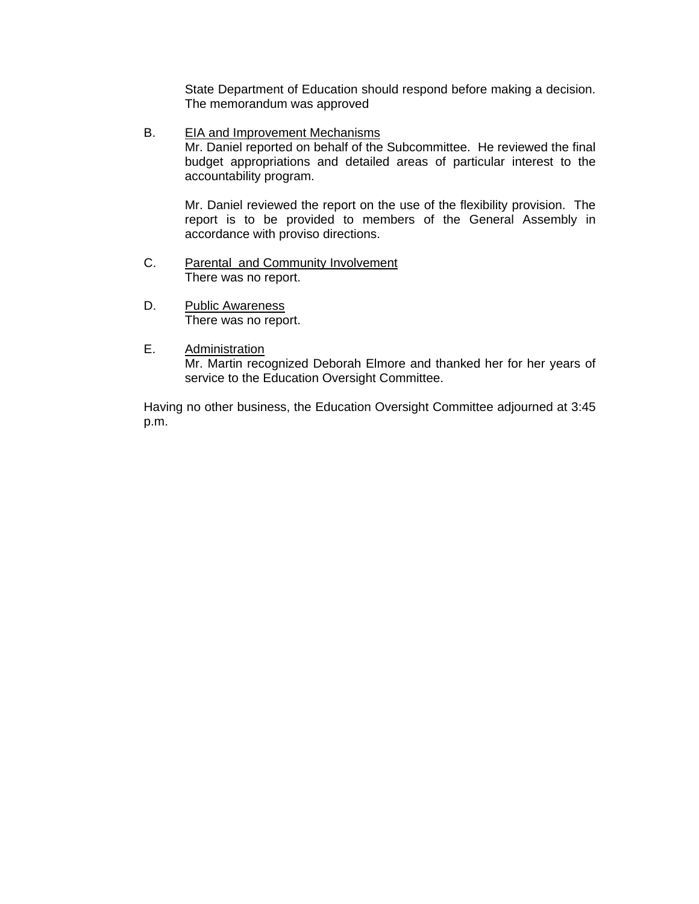State Department of Education should respond before making a decision. The memorandum was approved

B. EIA and Improvement Mechanisms Mr. Daniel reported on behalf of the Subcommittee. He reviewed the final budget appropriations and detailed areas of particular interest to the accountability program.

Mr. Daniel reviewed the report on the use of the flexibility provision. The report is to be provided to members of the General Assembly in accordance with proviso directions.

- C. Parental and Community Involvement There was no report.
- D. Public Awareness There was no report.
- E. Administration Mr. Martin recognized Deborah Elmore and thanked her for her years of service to the Education Oversight Committee.

Having no other business, the Education Oversight Committee adjourned at 3:45 p.m.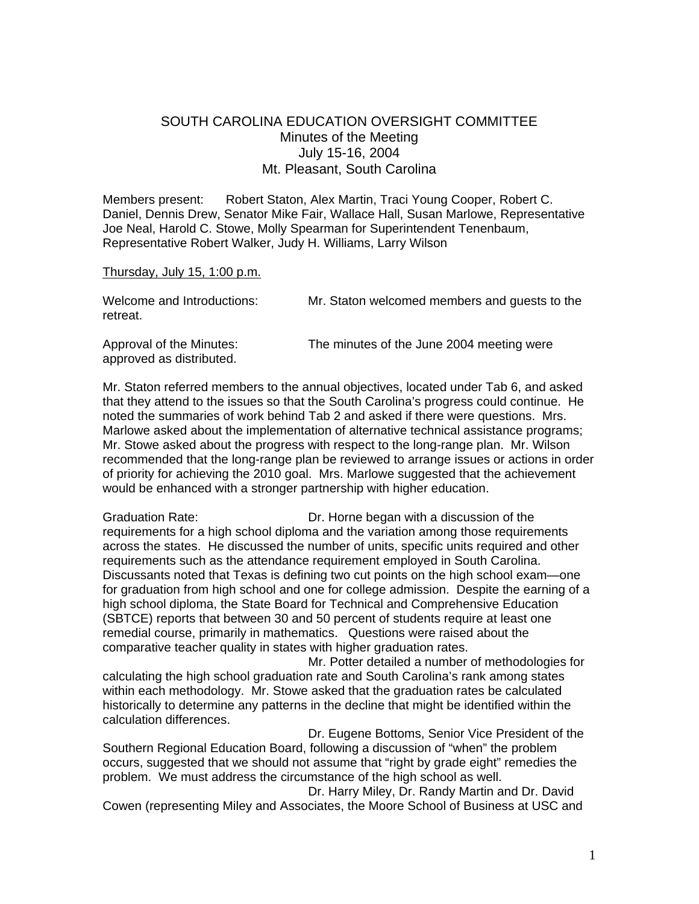### SOUTH CAROLINA EDUCATION OVERSIGHT COMMITTEE Minutes of the Meeting July 15-16, 2004 Mt. Pleasant, South Carolina

Members present: Robert Staton, Alex Martin, Traci Young Cooper, Robert C. Daniel, Dennis Drew, Senator Mike Fair, Wallace Hall, Susan Marlowe, Representative Joe Neal, Harold C. Stowe, Molly Spearman for Superintendent Tenenbaum, Representative Robert Walker, Judy H. Williams, Larry Wilson

#### Thursday, July 15, 1:00 p.m.

approved as distributed.

| Welcome and Introductions:<br>retreat. | Mr. Staton welcomed members and guests to the |
|----------------------------------------|-----------------------------------------------|
| Approval of the Minutes:               | The minutes of the June 2004 meeting were     |

Mr. Staton referred members to the annual objectives, located under Tab 6, and asked that they attend to the issues so that the South Carolina's progress could continue. He noted the summaries of work behind Tab 2 and asked if there were questions. Mrs. Marlowe asked about the implementation of alternative technical assistance programs; Mr. Stowe asked about the progress with respect to the long-range plan. Mr. Wilson recommended that the long-range plan be reviewed to arrange issues or actions in order of priority for achieving the 2010 goal. Mrs. Marlowe suggested that the achievement would be enhanced with a stronger partnership with higher education.

Graduation Rate: Dr. Horne began with a discussion of the requirements for a high school diploma and the variation among those requirements across the states. He discussed the number of units, specific units required and other requirements such as the attendance requirement employed in South Carolina. Discussants noted that Texas is defining two cut points on the high school exam—one for graduation from high school and one for college admission. Despite the earning of a high school diploma, the State Board for Technical and Comprehensive Education (SBTCE) reports that between 30 and 50 percent of students require at least one remedial course, primarily in mathematics. Questions were raised about the comparative teacher quality in states with higher graduation rates.

 Mr. Potter detailed a number of methodologies for calculating the high school graduation rate and South Carolina's rank among states within each methodology. Mr. Stowe asked that the graduation rates be calculated historically to determine any patterns in the decline that might be identified within the calculation differences.

 Dr. Eugene Bottoms, Senior Vice President of the Southern Regional Education Board, following a discussion of "when" the problem occurs, suggested that we should not assume that "right by grade eight" remedies the problem. We must address the circumstance of the high school as well.

 Dr. Harry Miley, Dr. Randy Martin and Dr. David Cowen (representing Miley and Associates, the Moore School of Business at USC and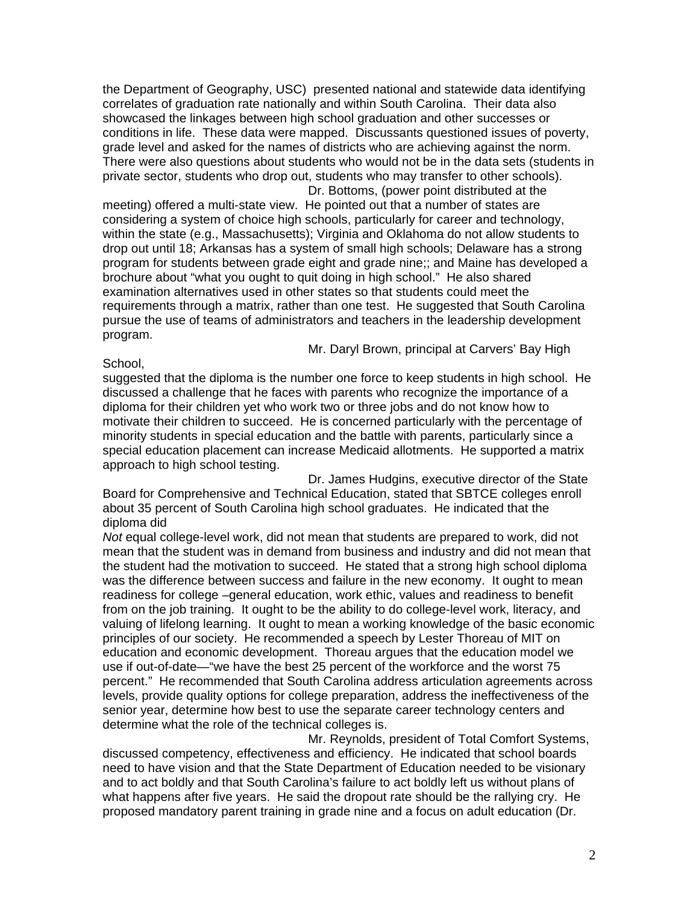the Department of Geography, USC) presented national and statewide data identifying correlates of graduation rate nationally and within South Carolina. Their data also showcased the linkages between high school graduation and other successes or conditions in life. These data were mapped. Discussants questioned issues of poverty, grade level and asked for the names of districts who are achieving against the norm. There were also questions about students who would not be in the data sets (students in private sector, students who drop out, students who may transfer to other schools). Dr. Bottoms, (power point distributed at the

meeting) offered a multi-state view. He pointed out that a number of states are considering a system of choice high schools, particularly for career and technology, within the state (e.g., Massachusetts); Virginia and Oklahoma do not allow students to drop out until 18; Arkansas has a system of small high schools; Delaware has a strong program for students between grade eight and grade nine;; and Maine has developed a brochure about "what you ought to quit doing in high school." He also shared examination alternatives used in other states so that students could meet the requirements through a matrix, rather than one test. He suggested that South Carolina pursue the use of teams of administrators and teachers in the leadership development program.

Mr. Daryl Brown, principal at Carvers' Bay High

#### School,

suggested that the diploma is the number one force to keep students in high school. He discussed a challenge that he faces with parents who recognize the importance of a diploma for their children yet who work two or three jobs and do not know how to motivate their children to succeed. He is concerned particularly with the percentage of minority students in special education and the battle with parents, particularly since a special education placement can increase Medicaid allotments. He supported a matrix approach to high school testing.

 Dr. James Hudgins, executive director of the State Board for Comprehensive and Technical Education, stated that SBTCE colleges enroll about 35 percent of South Carolina high school graduates. He indicated that the diploma did

*Not* equal college-level work, did not mean that students are prepared to work, did not mean that the student was in demand from business and industry and did not mean that the student had the motivation to succeed. He stated that a strong high school diploma was the difference between success and failure in the new economy. It ought to mean readiness for college –general education, work ethic, values and readiness to benefit from on the job training. It ought to be the ability to do college-level work, literacy, and valuing of lifelong learning. It ought to mean a working knowledge of the basic economic principles of our society. He recommended a speech by Lester Thoreau of MIT on education and economic development. Thoreau argues that the education model we use if out-of-date—"we have the best 25 percent of the workforce and the worst 75 percent." He recommended that South Carolina address articulation agreements across levels, provide quality options for college preparation, address the ineffectiveness of the senior year, determine how best to use the separate career technology centers and determine what the role of the technical colleges is.

 Mr. Reynolds, president of Total Comfort Systems, discussed competency, effectiveness and efficiency. He indicated that school boards need to have vision and that the State Department of Education needed to be visionary and to act boldly and that South Carolina's failure to act boldly left us without plans of what happens after five years. He said the dropout rate should be the rallying cry. He proposed mandatory parent training in grade nine and a focus on adult education (Dr.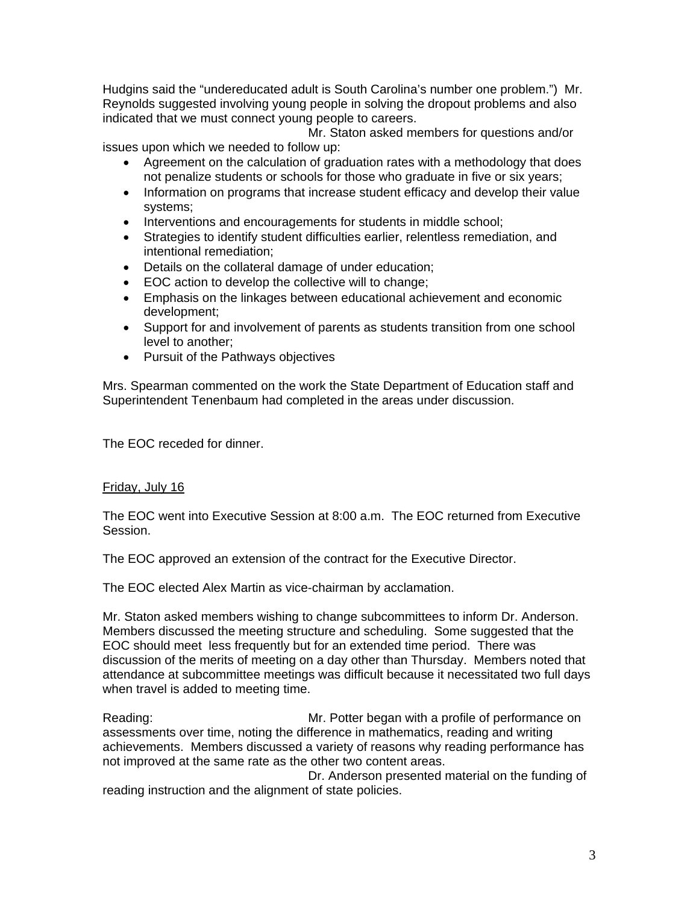Hudgins said the "undereducated adult is South Carolina's number one problem.") Mr. Reynolds suggested involving young people in solving the dropout problems and also indicated that we must connect young people to careers.

 Mr. Staton asked members for questions and/or issues upon which we needed to follow up:

- Agreement on the calculation of graduation rates with a methodology that does not penalize students or schools for those who graduate in five or six years;
- Information on programs that increase student efficacy and develop their value systems;
- Interventions and encouragements for students in middle school;
- Strategies to identify student difficulties earlier, relentless remediation, and intentional remediation;
- Details on the collateral damage of under education;
- EOC action to develop the collective will to change;
- Emphasis on the linkages between educational achievement and economic development;
- Support for and involvement of parents as students transition from one school level to another;
- Pursuit of the Pathways objectives

Mrs. Spearman commented on the work the State Department of Education staff and Superintendent Tenenbaum had completed in the areas under discussion.

The EOC receded for dinner.

### Friday, July 16

The EOC went into Executive Session at 8:00 a.m. The EOC returned from Executive Session.

The EOC approved an extension of the contract for the Executive Director.

The EOC elected Alex Martin as vice-chairman by acclamation.

Mr. Staton asked members wishing to change subcommittees to inform Dr. Anderson. Members discussed the meeting structure and scheduling. Some suggested that the EOC should meet less frequently but for an extended time period. There was discussion of the merits of meeting on a day other than Thursday. Members noted that attendance at subcommittee meetings was difficult because it necessitated two full days when travel is added to meeting time.

Reading: The Mr. Potter began with a profile of performance on assessments over time, noting the difference in mathematics, reading and writing achievements. Members discussed a variety of reasons why reading performance has not improved at the same rate as the other two content areas.

 Dr. Anderson presented material on the funding of reading instruction and the alignment of state policies.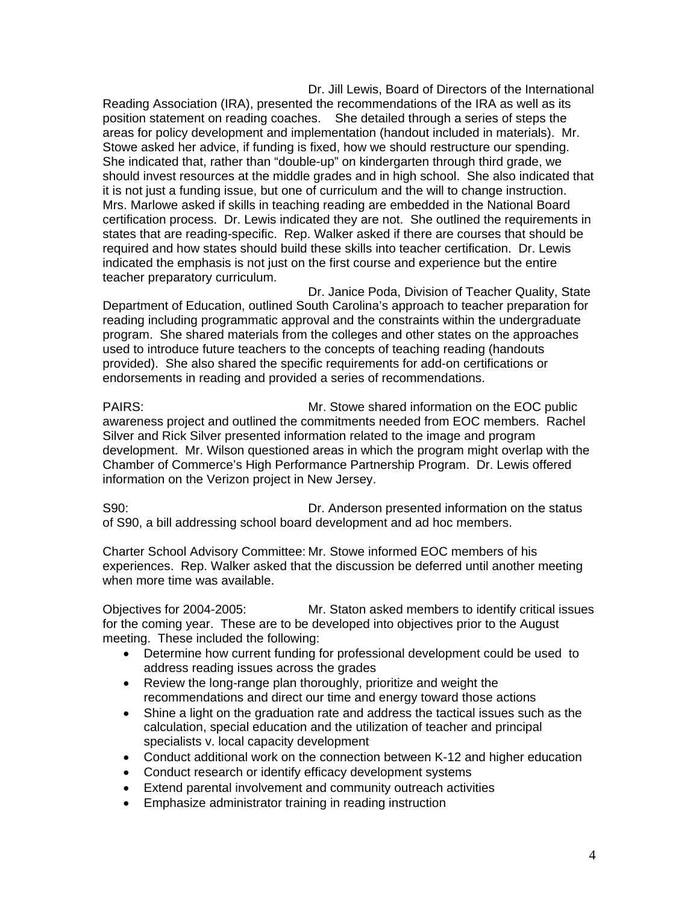Dr. Jill Lewis, Board of Directors of the International Reading Association (IRA), presented the recommendations of the IRA as well as its position statement on reading coaches. She detailed through a series of steps the areas for policy development and implementation (handout included in materials). Mr. Stowe asked her advice, if funding is fixed, how we should restructure our spending. She indicated that, rather than "double-up" on kindergarten through third grade, we should invest resources at the middle grades and in high school. She also indicated that it is not just a funding issue, but one of curriculum and the will to change instruction. Mrs. Marlowe asked if skills in teaching reading are embedded in the National Board certification process. Dr. Lewis indicated they are not. She outlined the requirements in states that are reading-specific. Rep. Walker asked if there are courses that should be required and how states should build these skills into teacher certification. Dr. Lewis indicated the emphasis is not just on the first course and experience but the entire teacher preparatory curriculum.

 Dr. Janice Poda, Division of Teacher Quality, State Department of Education, outlined South Carolina's approach to teacher preparation for reading including programmatic approval and the constraints within the undergraduate program. She shared materials from the colleges and other states on the approaches used to introduce future teachers to the concepts of teaching reading (handouts provided). She also shared the specific requirements for add-on certifications or endorsements in reading and provided a series of recommendations.

PAIRS: Mr. Stowe shared information on the EOC public awareness project and outlined the commitments needed from EOC members. Rachel Silver and Rick Silver presented information related to the image and program development. Mr. Wilson questioned areas in which the program might overlap with the Chamber of Commerce's High Performance Partnership Program. Dr. Lewis offered information on the Verizon project in New Jersey.

S90: Dr. Anderson presented information on the status of S90, a bill addressing school board development and ad hoc members.

Charter School Advisory Committee: Mr. Stowe informed EOC members of his experiences. Rep. Walker asked that the discussion be deferred until another meeting when more time was available.

Objectives for 2004-2005: Mr. Staton asked members to identify critical issues for the coming year. These are to be developed into objectives prior to the August meeting. These included the following:

- Determine how current funding for professional development could be used to address reading issues across the grades
- Review the long-range plan thoroughly, prioritize and weight the recommendations and direct our time and energy toward those actions
- Shine a light on the graduation rate and address the tactical issues such as the calculation, special education and the utilization of teacher and principal specialists v. local capacity development
- Conduct additional work on the connection between K-12 and higher education
- Conduct research or identify efficacy development systems
- Extend parental involvement and community outreach activities
- Emphasize administrator training in reading instruction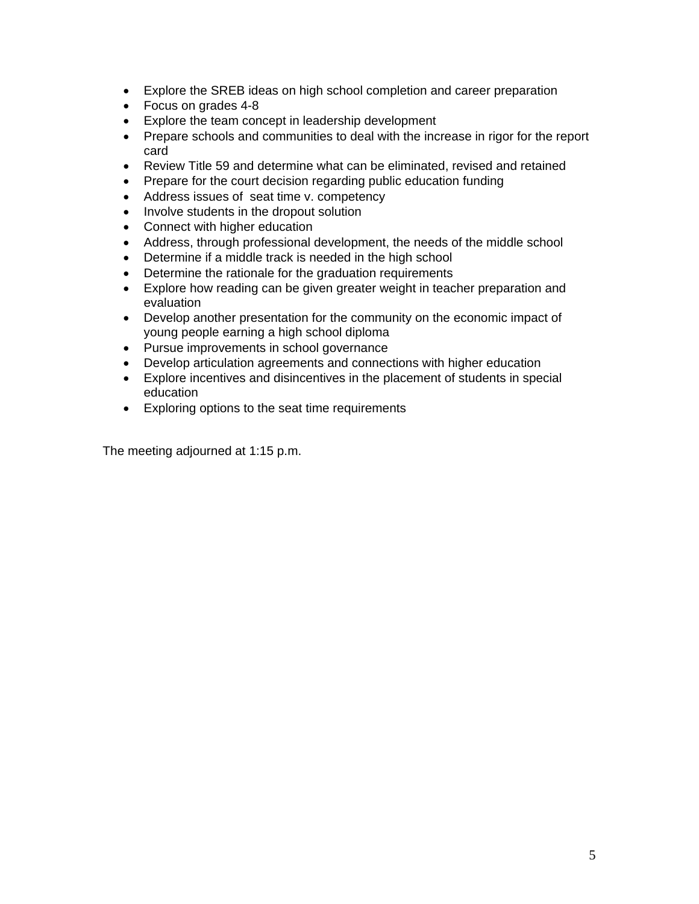- Explore the SREB ideas on high school completion and career preparation
- Focus on grades 4-8
- Explore the team concept in leadership development
- Prepare schools and communities to deal with the increase in rigor for the report card
- Review Title 59 and determine what can be eliminated, revised and retained
- Prepare for the court decision regarding public education funding
- Address issues of seat time v. competency
- Involve students in the dropout solution
- Connect with higher education
- Address, through professional development, the needs of the middle school
- Determine if a middle track is needed in the high school
- Determine the rationale for the graduation requirements
- Explore how reading can be given greater weight in teacher preparation and evaluation
- Develop another presentation for the community on the economic impact of young people earning a high school diploma
- Pursue improvements in school governance
- Develop articulation agreements and connections with higher education
- Explore incentives and disincentives in the placement of students in special education
- Exploring options to the seat time requirements

The meeting adjourned at 1:15 p.m.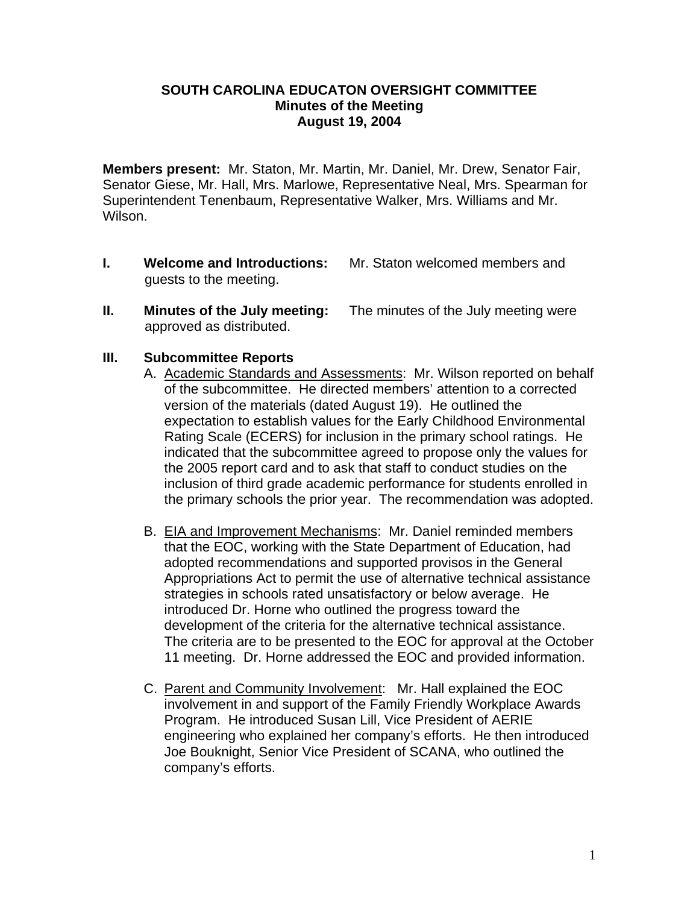### **SOUTH CAROLINA EDUCATON OVERSIGHT COMMITTEE Minutes of the Meeting August 19, 2004**

**Members present:** Mr. Staton, Mr. Martin, Mr. Daniel, Mr. Drew, Senator Fair, Senator Giese, Mr. Hall, Mrs. Marlowe, Representative Neal, Mrs. Spearman for Superintendent Tenenbaum, Representative Walker, Mrs. Williams and Mr. Wilson.

- **I. Welcome and Introductions:** Mr. Staton welcomed members and guests to the meeting.
- **II. Minutes of the July meeting:** The minutes of the July meeting were approved as distributed.
- **III. Subcommittee Reports** 
	- A. Academic Standards and Assessments: Mr. Wilson reported on behalf of the subcommittee. He directed members' attention to a corrected version of the materials (dated August 19). He outlined the expectation to establish values for the Early Childhood Environmental Rating Scale (ECERS) for inclusion in the primary school ratings. He indicated that the subcommittee agreed to propose only the values for the 2005 report card and to ask that staff to conduct studies on the inclusion of third grade academic performance for students enrolled in the primary schools the prior year. The recommendation was adopted.
	- B. EIA and Improvement Mechanisms: Mr. Daniel reminded members that the EOC, working with the State Department of Education, had adopted recommendations and supported provisos in the General Appropriations Act to permit the use of alternative technical assistance strategies in schools rated unsatisfactory or below average. He introduced Dr. Horne who outlined the progress toward the development of the criteria for the alternative technical assistance. The criteria are to be presented to the EOC for approval at the October 11 meeting. Dr. Horne addressed the EOC and provided information.
	- C. Parent and Community Involvement: Mr. Hall explained the EOC involvement in and support of the Family Friendly Workplace Awards Program. He introduced Susan Lill, Vice President of AERIE engineering who explained her company's efforts. He then introduced Joe Bouknight, Senior Vice President of SCANA, who outlined the company's efforts.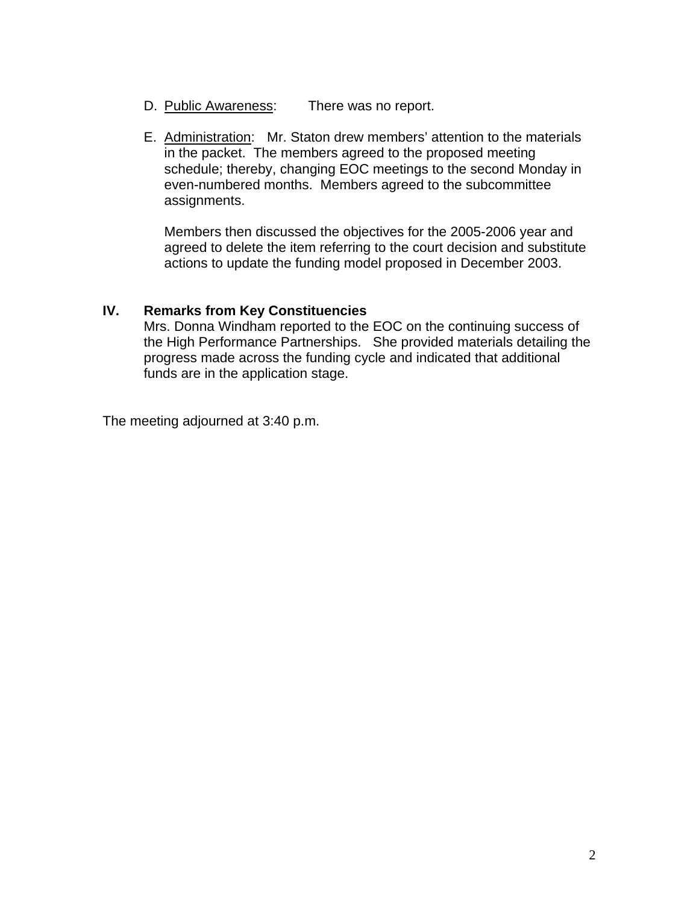- D. Public Awareness: There was no report.
- E. Administration: Mr. Staton drew members' attention to the materials in the packet. The members agreed to the proposed meeting schedule; thereby, changing EOC meetings to the second Monday in even-numbered months. Members agreed to the subcommittee assignments.

Members then discussed the objectives for the 2005-2006 year and agreed to delete the item referring to the court decision and substitute actions to update the funding model proposed in December 2003.

## **IV. Remarks from Key Constituencies**

Mrs. Donna Windham reported to the EOC on the continuing success of the High Performance Partnerships. She provided materials detailing the progress made across the funding cycle and indicated that additional funds are in the application stage.

The meeting adjourned at 3:40 p.m.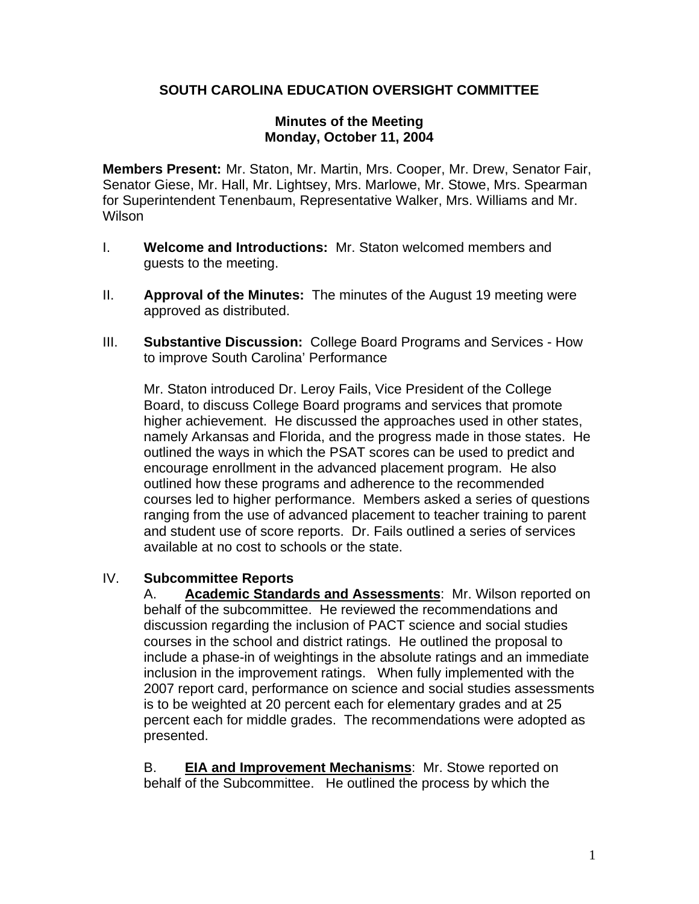## **SOUTH CAROLINA EDUCATION OVERSIGHT COMMITTEE**

### **Minutes of the Meeting Monday, October 11, 2004**

**Members Present:** Mr. Staton, Mr. Martin, Mrs. Cooper, Mr. Drew, Senator Fair, Senator Giese, Mr. Hall, Mr. Lightsey, Mrs. Marlowe, Mr. Stowe, Mrs. Spearman for Superintendent Tenenbaum, Representative Walker, Mrs. Williams and Mr. Wilson

- I. **Welcome and Introductions:** Mr. Staton welcomed members and guests to the meeting.
- II. **Approval of the Minutes:** The minutes of the August 19 meeting were approved as distributed.
- III. **Substantive Discussion:** College Board Programs and Services How to improve South Carolina' Performance

Mr. Staton introduced Dr. Leroy Fails, Vice President of the College Board, to discuss College Board programs and services that promote higher achievement. He discussed the approaches used in other states, namely Arkansas and Florida, and the progress made in those states. He outlined the ways in which the PSAT scores can be used to predict and encourage enrollment in the advanced placement program. He also outlined how these programs and adherence to the recommended courses led to higher performance. Members asked a series of questions ranging from the use of advanced placement to teacher training to parent and student use of score reports. Dr. Fails outlined a series of services available at no cost to schools or the state.

## IV. **Subcommittee Reports**

A. **Academic Standards and Assessments**: Mr. Wilson reported on behalf of the subcommittee. He reviewed the recommendations and discussion regarding the inclusion of PACT science and social studies courses in the school and district ratings. He outlined the proposal to include a phase-in of weightings in the absolute ratings and an immediate inclusion in the improvement ratings. When fully implemented with the 2007 report card, performance on science and social studies assessments is to be weighted at 20 percent each for elementary grades and at 25 percent each for middle grades. The recommendations were adopted as presented.

B. **EIA and Improvement Mechanisms**: Mr. Stowe reported on behalf of the Subcommittee. He outlined the process by which the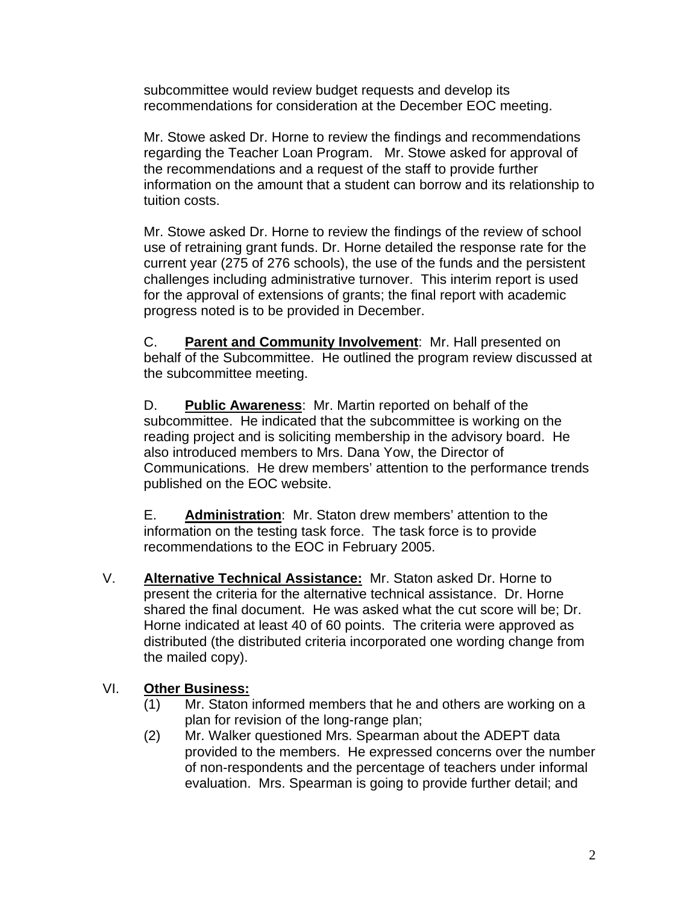subcommittee would review budget requests and develop its recommendations for consideration at the December EOC meeting.

Mr. Stowe asked Dr. Horne to review the findings and recommendations regarding the Teacher Loan Program. Mr. Stowe asked for approval of the recommendations and a request of the staff to provide further information on the amount that a student can borrow and its relationship to tuition costs.

Mr. Stowe asked Dr. Horne to review the findings of the review of school use of retraining grant funds. Dr. Horne detailed the response rate for the current year (275 of 276 schools), the use of the funds and the persistent challenges including administrative turnover. This interim report is used for the approval of extensions of grants; the final report with academic progress noted is to be provided in December.

C. **Parent and Community Involvement**: Mr. Hall presented on behalf of the Subcommittee. He outlined the program review discussed at the subcommittee meeting.

D. **Public Awareness**: Mr. Martin reported on behalf of the subcommittee. He indicated that the subcommittee is working on the reading project and is soliciting membership in the advisory board. He also introduced members to Mrs. Dana Yow, the Director of Communications. He drew members' attention to the performance trends published on the EOC website.

E. **Administration**: Mr. Staton drew members' attention to the information on the testing task force. The task force is to provide recommendations to the EOC in February 2005.

V. **Alternative Technical Assistance:** Mr. Staton asked Dr. Horne to present the criteria for the alternative technical assistance. Dr. Horne shared the final document. He was asked what the cut score will be; Dr. Horne indicated at least 40 of 60 points. The criteria were approved as distributed (the distributed criteria incorporated one wording change from the mailed copy).

## VI. **Other Business:**

- (1) Mr. Staton informed members that he and others are working on a plan for revision of the long-range plan;
- (2) Mr. Walker questioned Mrs. Spearman about the ADEPT data provided to the members. He expressed concerns over the number of non-respondents and the percentage of teachers under informal evaluation. Mrs. Spearman is going to provide further detail; and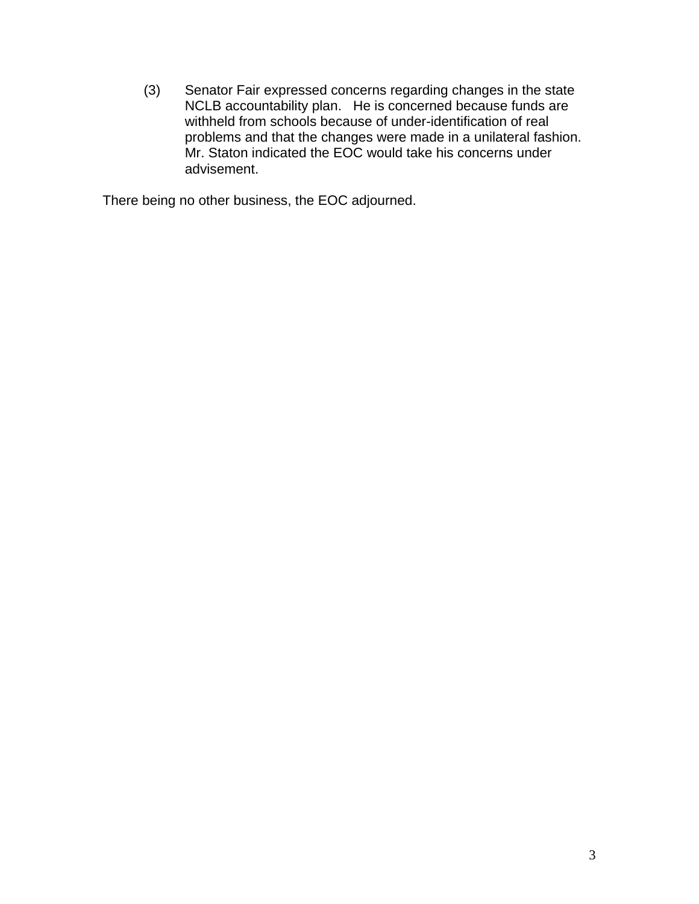(3) Senator Fair expressed concerns regarding changes in the state NCLB accountability plan. He is concerned because funds are withheld from schools because of under-identification of real problems and that the changes were made in a unilateral fashion. Mr. Staton indicated the EOC would take his concerns under advisement.

There being no other business, the EOC adjourned.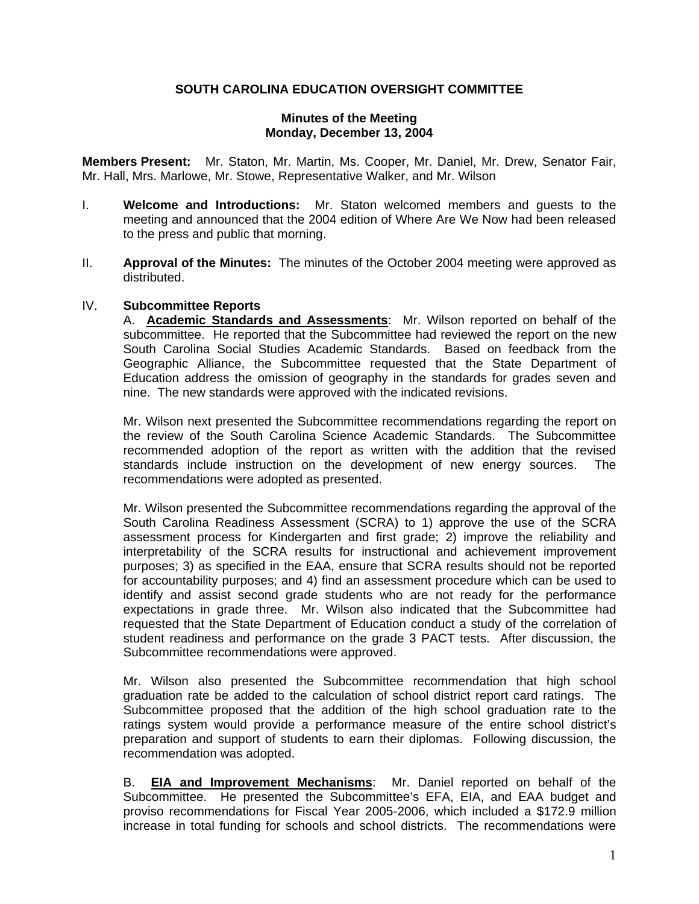### **SOUTH CAROLINA EDUCATION OVERSIGHT COMMITTEE**

#### **Minutes of the Meeting Monday, December 13, 2004**

**Members Present:** Mr. Staton, Mr. Martin, Ms. Cooper, Mr. Daniel, Mr. Drew, Senator Fair, Mr. Hall, Mrs. Marlowe, Mr. Stowe, Representative Walker, and Mr. Wilson

- I. **Welcome and Introductions:** Mr. Staton welcomed members and guests to the meeting and announced that the 2004 edition of Where Are We Now had been released to the press and public that morning.
- II. **Approval of the Minutes:** The minutes of the October 2004 meeting were approved as distributed.

#### IV. **Subcommittee Reports**

A. **Academic Standards and Assessments**: Mr. Wilson reported on behalf of the subcommittee. He reported that the Subcommittee had reviewed the report on the new South Carolina Social Studies Academic Standards. Based on feedback from the Geographic Alliance, the Subcommittee requested that the State Department of Education address the omission of geography in the standards for grades seven and nine. The new standards were approved with the indicated revisions.

Mr. Wilson next presented the Subcommittee recommendations regarding the report on the review of the South Carolina Science Academic Standards. The Subcommittee recommended adoption of the report as written with the addition that the revised standards include instruction on the development of new energy sources. The recommendations were adopted as presented.

Mr. Wilson presented the Subcommittee recommendations regarding the approval of the South Carolina Readiness Assessment (SCRA) to 1) approve the use of the SCRA assessment process for Kindergarten and first grade; 2) improve the reliability and interpretability of the SCRA results for instructional and achievement improvement purposes; 3) as specified in the EAA, ensure that SCRA results should not be reported for accountability purposes; and 4) find an assessment procedure which can be used to identify and assist second grade students who are not ready for the performance expectations in grade three. Mr. Wilson also indicated that the Subcommittee had requested that the State Department of Education conduct a study of the correlation of student readiness and performance on the grade 3 PACT tests. After discussion, the Subcommittee recommendations were approved.

Mr. Wilson also presented the Subcommittee recommendation that high school graduation rate be added to the calculation of school district report card ratings. The Subcommittee proposed that the addition of the high school graduation rate to the ratings system would provide a performance measure of the entire school district's preparation and support of students to earn their diplomas. Following discussion, the recommendation was adopted.

B. **EIA and Improvement Mechanisms**: Mr. Daniel reported on behalf of the Subcommittee. He presented the Subcommittee's EFA, EIA, and EAA budget and proviso recommendations for Fiscal Year 2005-2006, which included a \$172.9 million increase in total funding for schools and school districts. The recommendations were